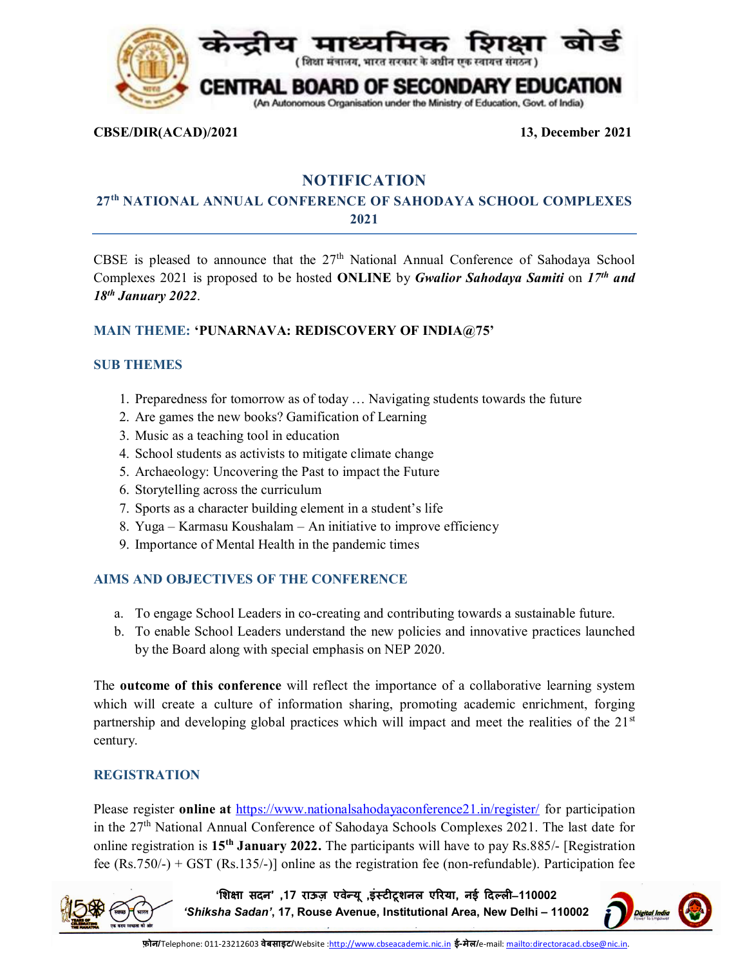

**CBSE/DIR(ACAD)/2021 13, December 2021**

# **NOTIFICATION**

## **27th NATIONAL ANNUAL CONFERENCE OF SAHODAYA SCHOOL COMPLEXES 2021**

CBSE is pleased to announce that the  $27<sup>th</sup>$  National Annual Conference of Sahodaya School Complexes 2021 is proposed to be hosted **ONLINE** by *Gwalior Sahodaya Samiti* on *17th and 18th January 2022*.

## **MAIN THEME: 'PUNARNAVA: REDISCOVERY OF INDIA@75'**

## **SUB THEMES**

- 1. Preparedness for tomorrow as of today … Navigating students towards the future
- 2. Are games the new books? Gamification of Learning
- 3. Music as a teaching tool in education
- 4. School students as activists to mitigate climate change
- 5. Archaeology: Uncovering the Past to impact the Future
- 6. Storytelling across the curriculum
- 7. Sports as a character building element in a student's life
- 8. Yuga Karmasu Koushalam An initiative to improve efficiency
- 9. Importance of Mental Health in the pandemic times

## **AIMS AND OBJECTIVES OF THE CONFERENCE**

- a. To engage School Leaders in co-creating and contributing towards a sustainable future.
- b. To enable School Leaders understand the new policies and innovative practices launched by the Board along with special emphasis on NEP 2020.

The **outcome of this conference** will reflect the importance of a collaborative learning system which will create a culture of information sharing, promoting academic enrichment, forging partnership and developing global practices which will impact and meet the realities of the 21<sup>st</sup> century.

## **REGISTRATION**

Please register **online at** <https://www.nationalsahodayaconference21.in/register/> for participation in the 27<sup>th</sup> National Annual Conference of Sahodaya Schools Complexes 2021. The last date for online registration is **15th January 2022.** The participants will have to pay Rs.885/- [Registration fee (Rs.750/-) + GST (Rs.135/-)] online as the registration fee (non-refundable). Participation fee

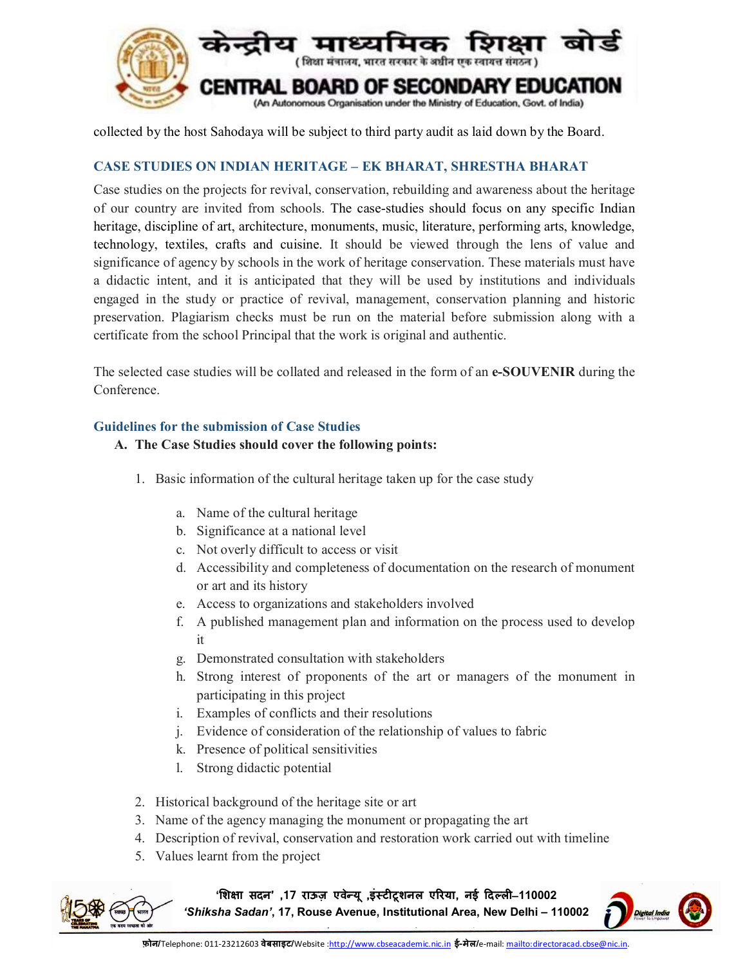

collected by the host Sahodaya will be subject to third party audit as laid down by the Board.

## **CASE STUDIES ON INDIAN HERITAGE – EK BHARAT, SHRESTHA BHARAT**

Case studies on the projects for revival, conservation, rebuilding and awareness about the heritage of our country are invited from schools. The case-studies should focus on any specific Indian heritage, discipline of art, architecture, monuments, music, literature, performing arts, knowledge, technology, textiles, crafts and cuisine. It should be viewed through the lens of value and significance of agency by schools in the work of heritage conservation. These materials must have a didactic intent, and it is anticipated that they will be used by institutions and individuals engaged in the study or practice of revival, management, conservation planning and historic preservation. Plagiarism checks must be run on the material before submission along with a certificate from the school Principal that the work is original and authentic.

The selected case studies will be collated and released in the form of an **e-SOUVENIR** during the Conference.

#### **Guidelines for the submission of Case Studies**

#### **A. The Case Studies should cover the following points:**

- 1. Basic information of the cultural heritage taken up for the case study
	- a. Name of the cultural heritage
	- b. Significance at a national level
	- c. Not overly difficult to access or visit
	- d. Accessibility and completeness of documentation on the research of monument or art and its history
	- e. Access to organizations and stakeholders involved
	- f. A published management plan and information on the process used to develop it
	- g. Demonstrated consultation with stakeholders
	- h. Strong interest of proponents of the art or managers of the monument in participating in this project
	- i. Examples of conflicts and their resolutions
	- j. Evidence of consideration of the relationship of values to fabric
	- k. Presence of political sensitivities
	- l. Strong didactic potential
- 2. Historical background of the heritage site or art
- 3. Name of the agency managing the monument or propagating the art
- 4. Description of revival, conservation and restoration work carried out with timeline
- 5. Values learnt from the project



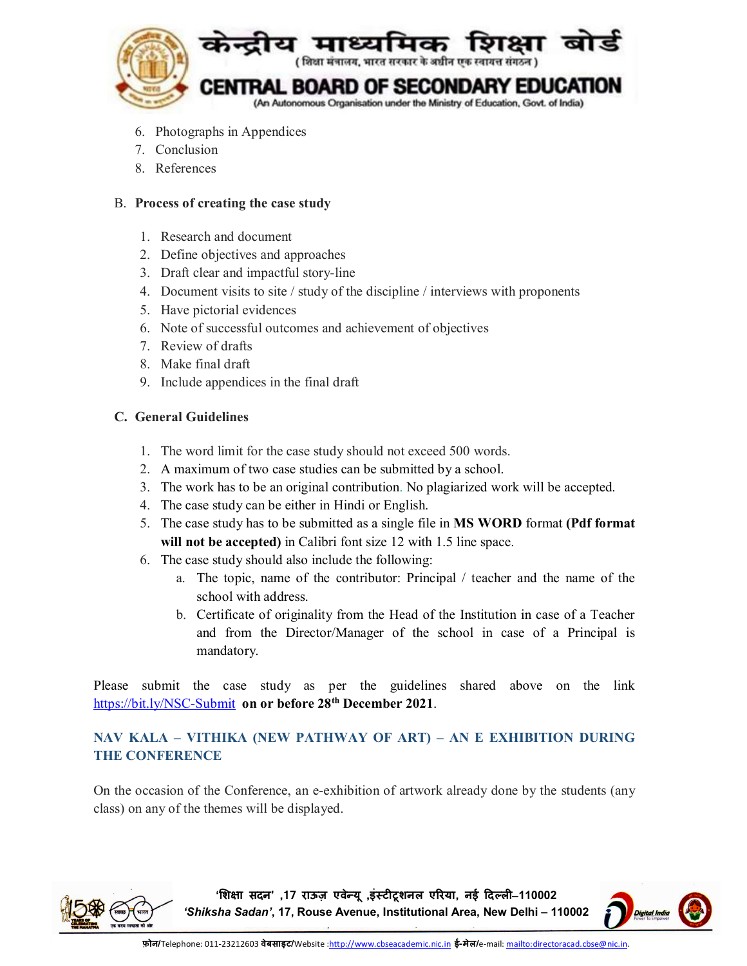

- 6. Photographs in Appendices
- 7. Conclusion
- 8. References

## B. **Process of creating the case study**

- 1. Research and document
- 2. Define objectives and approaches
- 3. Draft clear and impactful story-line
- 4. Document visits to site / study of the discipline / interviews with proponents
- 5. Have pictorial evidences
- 6. Note of successful outcomes and achievement of objectives
- 7. Review of drafts
- 8. Make final draft
- 9. Include appendices in the final draft

## **C. General Guidelines**

- 1. The word limit for the case study should not exceed 500 words.
- 2. A maximum of two case studies can be submitted by a school.
- 3. The work has to be an original contribution. No plagiarized work will be accepted.
- 4. The case study can be either in Hindi or English.
- 5. The case study has to be submitted as a single file in **MS WORD** format **(Pdf format will not be accepted)** in Calibri font size 12 with 1.5 line space.
- 6. The case study should also include the following:
	- a. The topic, name of the contributor: Principal / teacher and the name of the school with address.
	- b. Certificate of originality from the Head of the Institution in case of a Teacher and from the Director/Manager of the school in case of a Principal is mandatory.

Please submit the case study as per the guidelines shared above on the link <https://bit.ly/NSC-Submit> **on or before 28th December 2021**.

## **NAV KALA – VITHIKA (NEW PATHWAY OF ART) – AN E EXHIBITION DURING THE CONFERENCE**

On the occasion of the Conference, an e-exhibition of artwork already done by the students (any class) on any of the themes will be displayed.



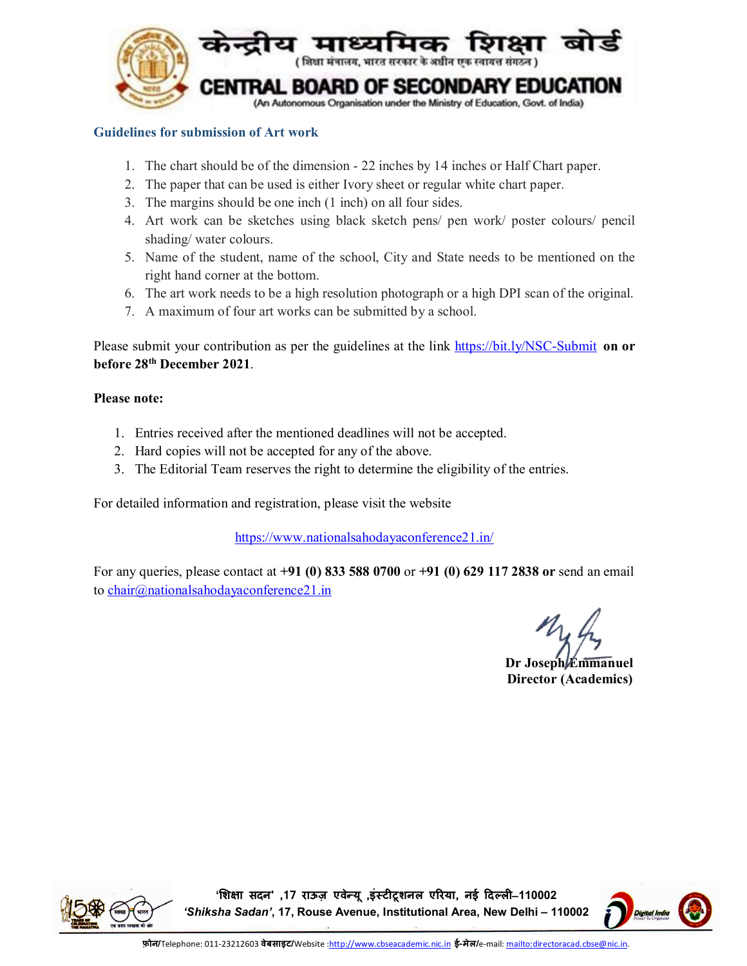

## **Guidelines for submission of Art work**

- 1. The chart should be of the dimension 22 inches by 14 inches or Half Chart paper.
- 2. The paper that can be used is either Ivory sheet or regular white chart paper.
- 3. The margins should be one inch (1 inch) on all four sides.
- 4. Art work can be sketches using black sketch pens/ pen work/ poster colours/ pencil shading/ water colours.
- 5. Name of the student, name of the school, City and State needs to be mentioned on the right hand corner at the bottom.
- 6. The art work needs to be a high resolution photograph or a high DPI scan of the original.
- 7. A maximum of four art works can be submitted by a school.

Please submit your contribution as per the guidelines at the link <https://bit.ly/NSC-Submit> **on or before 28th December 2021**.

## **Please note:**

- 1. Entries received after the mentioned deadlines will not be accepted.
- 2. Hard copies will not be accepted for any of the above.
- 3. The Editorial Team reserves the right to determine the eligibility of the entries.

For detailed information and registration, please visit the website

<https://www.nationalsahodayaconference21.in/>

For any queries, please contact at **+91 (0) 833 588 0700** or **+91 (0) 629 117 2838 or** send an email to [chair@nationalsahodayaconference21.in](mailto:chair@nationalsahodayaconference21.in)

**Dr Joseph Emmanuel Director (Academics)**